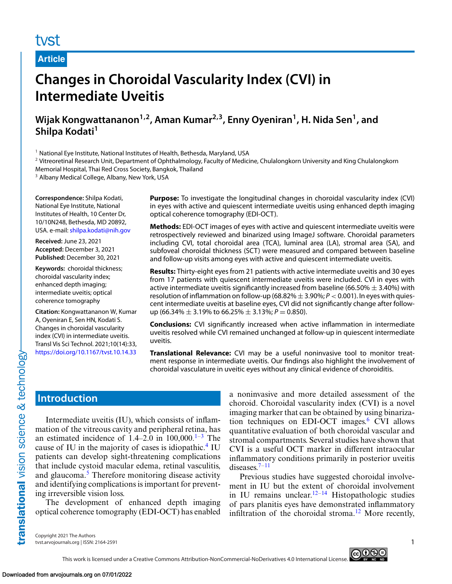# tyst

#### **Article**

# **Changes in Choroidal Vascularity Index (CVI) in Intermediate Uveitis**

**Wijak Kongwattananon1,2, Aman Kumar2,3, Enny Oyeniran1, H. Nida Sen1, and** Shilpa Kodati<sup>1</sup>

<sup>1</sup> National Eye Institute, National Institutes of Health, Bethesda, Maryland, USA

<sup>2</sup> Vitreoretinal Research Unit, Department of Ophthalmology, Faculty of Medicine, Chulalongkorn University and King Chulalongkorn Memorial Hospital, Thai Red Cross Society, Bangkok, Thailand

<sup>3</sup> Albany Medical College, Albany, New York, USA

**Correspondence:** Shilpa Kodati, National Eye Institute, National Institutes of Health, 10 Center Dr, 10/10N248, Bethesda, MD 20892, USA. e-mail: [shilpa.kodati@nih.gov](mailto:shilpa.kodati@nih.gov)

**Received:** June 23, 2021 **Accepted:** December 3, 2021 **Published:** December 30, 2021

**Keywords:** choroidal thickness; choroidal vascularity index; enhanced depth imaging; intermediate uveitis; optical coherence tomography

**Citation:** Kongwattananon W, Kumar A, Oyeniran E, Sen HN, Kodati S. Changes in choroidal vascularity index (CVI) in intermediate uveitis. Transl Vis Sci Technol. 2021;10(14):33, <https://doi.org/10.1167/tvst.10.14.33>

**Purpose:** To investigate the longitudinal changes in choroidal vascularity index (CVI) in eyes with active and quiescent intermediate uveitis using enhanced depth imaging optical coherence tomography (EDI-OCT).

**Methods:** EDI-OCT images of eyes with active and quiescent intermediate uveitis were retrospectively reviewed and binarized using ImageJ software. Choroidal parameters including CVI, total choroidal area (TCA), luminal area (LA), stromal area (SA), and subfoveal choroidal thickness (SCT) were measured and compared between baseline and follow-up visits among eyes with active and quiescent intermediate uveitis.

**Results:** Thirty-eight eyes from 21 patients with active intermediate uveitis and 30 eyes from 17 patients with quiescent intermediate uveitis were included. CVI in eyes with active intermediate uveitis significantly increased from baseline (66.50%  $\pm$  3.40%) with resolution of inflammation on follow-up  $(68.82\% \pm 3.90\%; P < 0.001)$ . In eyes with quiescent intermediate uveitis at baseline eyes, CVI did not significantly change after followup (66.34%  $\pm$  3.19% to 66.25%  $\pm$  3.13%;  $P = 0.850$ ).

**Conclusions:** CVI significantly increased when active inflammation in intermediate uveitis resolved while CVI remained unchanged at follow-up in quiescent intermediate uveitis.

**Translational Relevance:** CVI may be a useful noninvasive tool to monitor treatment response in intermediate uveitis. Our findings also highlight the involvement of choroidal vasculature in uveitic eyes without any clinical evidence of choroiditis.

# **Introduction**

Intermediate uveitis (IU), which consists of inflammation of the vitreous cavity and peripheral retina, has an estimated incidence of  $1.4-2.0$  in  $100,000$ .<sup>1-3</sup> The cause of IU in the majority of cases is idiopathic.[4](#page-6-0) IU patients can develop sight-threatening complications that include cystoid macular edema, retinal vasculitis, and glaucoma.<sup>5</sup> Therefore monitoring disease activity and identifying complications is important for preventing irreversible vision loss.

The development of enhanced depth imaging optical coherence tomography (EDI-OCT) has enabled a noninvasive and more detailed assessment of the choroid. Choroidal vascularity index (CVI) is a novel imaging marker that can be obtained by using binariza-tion techniques on EDI-OCT images.<sup>[6](#page-7-0)</sup> CVI allows quantitative evaluation of both choroidal vascular and stromal compartments. Several studies have shown that CVI is a useful OCT marker in different intraocular inflammatory conditions primarily in posterior uveitis diseases. $7-11$ 

Previous studies have suggested choroidal involvement in IU but the extent of choroidal involvement in IU remains unclear. $12-14$  Histopathologic studies of pars planitis eyes have demonstrated inflammatory infiltration of the choroidal stroma.<sup>12</sup> More recently,

Copyright 2021 The Authors tvst.arvojournals.org | ISSN: 2164-2591 1

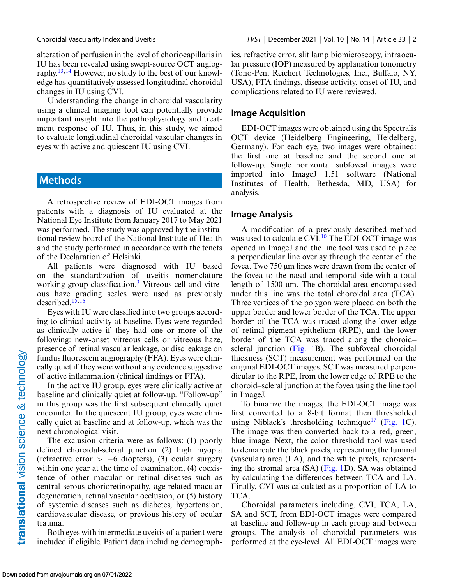alteration of perfusion in the level of choriocapillaris in IU has been revealed using swept-source OCT angiography[.13,14](#page-7-0) However, no study to the best of our knowledge has quantitatively assessed longitudinal choroidal changes in IU using CVI.

Understanding the change in choroidal vascularity using a clinical imaging tool can potentially provide important insight into the pathophysiology and treatment response of IU. Thus, in this study, we aimed to evaluate longitudinal choroidal vascular changes in eyes with active and quiescent IU using CVI.

## **Methods**

A retrospective review of EDI-OCT images from patients with a diagnosis of IU evaluated at the National Eye Institute from January 2017 to May 2021 was performed. The study was approved by the institutional review board of the National Institute of Health and the study performed in accordance with the tenets of the Declaration of Helsinki.

All patients were diagnosed with IU based on the standardization of uveitis nomenclature working group classification.<sup>[3](#page-6-0)</sup> Vitreous cell and vitreous haze grading scales were used as previously described.[15,16](#page-7-0)

Eyes with IU were classified into two groups according to clinical activity at baseline. Eyes were regarded as clinically active if they had one or more of the following: new-onset vitreous cells or vitreous haze, presence of retinal vascular leakage, or disc leakage on fundus fluorescein angiography (FFA). Eyes were clinically quiet if they were without any evidence suggestive of active inflammation (clinical findings or FFA).

In the active IU group, eyes were clinically active at baseline and clinically quiet at follow-up. "Follow-up" in this group was the first subsequent clinically quiet encounter. In the quiescent IU group, eyes were clinically quiet at baseline and at follow-up, which was the next chronological visit.

The exclusion criteria were as follows: (1) poorly defined choroidal-scleral junction (2) high myopia (refractive error >  $-6$  diopters), (3) ocular surgery within one year at the time of examination, (4) coexistence of other macular or retinal diseases such as central serous chorioretinopathy, age-related macular degeneration, retinal vascular occlusion, or (5) history of systemic diseases such as diabetes, hypertension, cardiovascular disease, or previous history of ocular trauma.

Both eyes with intermediate uveitis of a patient were included if eligible. Patient data including demographics, refractive error, slit lamp biomicroscopy, intraocular pressure (IOP) measured by applanation tonometry (Tono-Pen; Reichert Technologies, Inc., Buffalo, NY, USA), FFA findings, disease activity, onset of IU, and complications related to IU were reviewed.

#### **Image Acquisition**

EDI-OCT images were obtained using the Spectralis OCT device (Heidelberg Engineering, Heidelberg, Germany). For each eye, two images were obtained: the first one at baseline and the second one at follow-up. Single horizontal subfoveal images were imported into ImageJ 1.51 software (National Institutes of Health, Bethesda, MD, USA) for analysis.

#### **Image Analysis**

A modification of a previously described method was used to calculate CVI.<sup>[10](#page-7-0)</sup> The EDI-OCT image was opened in ImageJ and the line tool was used to place a perpendicular line overlay through the center of the fovea. Two 750 μm lines were drawn from the center of the fovea to the nasal and temporal side with a total length of 1500 μm. The choroidal area encompassed under this line was the total choroidal area (TCA). Three vertices of the polygon were placed on both the upper border and lower border of the TCA. The upper border of the TCA was traced along the lower edge of retinal pigment epithelium (RPE), and the lower border of the TCA was traced along the choroid– scleral junction [\(Fig. 1B](#page-2-0)). The subfoveal choroidal thickness (SCT) measurement was performed on the original EDI-OCT images. SCT was measured perpendicular to the RPE, from the lower edge of RPE to the choroid–scleral junction at the fovea using the line tool in ImageJ.

To binarize the images, the EDI-OCT image was first converted to a 8-bit format then thresholded using Niblack's thresholding technique<sup>17</sup> [\(Fig. 1C](#page-2-0)). The image was then converted back to a red, green, blue image. Next, the color threshold tool was used to demarcate the black pixels, representing the luminal (vascular) area (LA), and the white pixels, representing the stromal area (SA) [\(Fig. 1D](#page-2-0)). SA was obtained by calculating the differences between TCA and LA. Finally, CVI was calculated as a proportion of LA to TCA.

Choroidal parameters including, CVI, TCA, LA, SA and SCT, from EDI-OCT images were compared at baseline and follow-up in each group and between groups. The analysis of choroidal parameters was performed at the eye-level. All EDI-OCT images were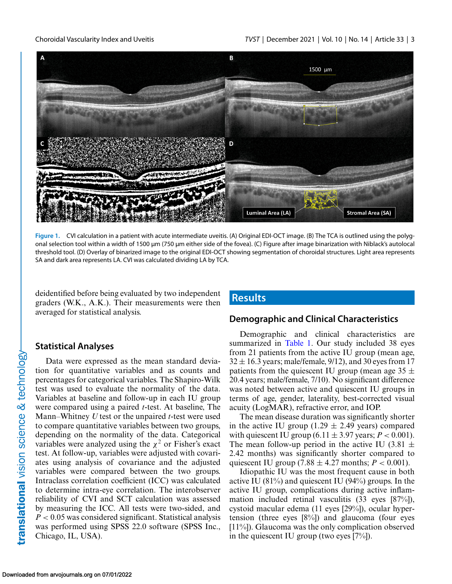<span id="page-2-0"></span>

**Figure 1.** CVI calculation in a patient with acute intermediate uveitis. (A) Original EDI-OCT image. (B) The TCA is outlined using the polygonal selection tool within a width of 1500 μm (750 μm either side of the fovea). (C) Figure after image binarization with Niblack's autolocal threshold tool. (D) Overlay of binarized image to the original EDI-OCT showing segmentation of choroidal structures. Light area represents SA and dark area represents LA. CVI was calculated dividing LA by TCA.

deidentified before being evaluated by two independent graders (W.K., A.K.). Their measurements were then averaged for statistical analysis.

#### **Statistical Analyses**

Data were expressed as the mean standard deviation for quantitative variables and as counts and percentages for categorical variables. The Shapiro-Wilk test was used to evaluate the normality of the data. Variables at baseline and follow-up in each IU group were compared using a paired *t*-test. At baseline, The Mann–Whitney *U* test or the unpaired *t*-test were used to compare quantitative variables between two groups, depending on the normality of the data. Categorical variables were analyzed using the  $\chi^2$  or Fisher's exact test. At follow-up, variables were adjusted with covariates using analysis of covariance and the adjusted variables were compared between the two groups. Intraclass correlation coefficient (ICC) was calculated to determine intra-eye correlation. The interobserver reliability of CVI and SCT calculation was assessed by measuring the ICC. All tests were two-sided, and *P* < 0.05 was considered significant. Statistical analysis was performed using SPSS 22.0 software (SPSS Inc., Chicago, IL, USA).

#### **Results**

#### **Demographic and Clinical Characteristics**

Demographic and clinical characteristics are summarized in [Table 1.](#page-3-0) Our study included 38 eyes from 21 patients from the active IU group (mean age,  $32 \pm 16.3$  years; male/female, 9/12), and 30 eyes from 17 patients from the quiescent IU group (mean age  $35 \pm$ 20.4 years; male/female, 7/10). No significant difference was noted between active and quiescent IU groups in terms of age, gender, laterality, best-corrected visual acuity (LogMAR), refractive error, and IOP.

The mean disease duration was significantly shorter in the active IU group  $(1.29 \pm 2.49 \text{ years})$  compared with quiescent IU group  $(6.11 \pm 3.97 \text{ years}; P < 0.001)$ . The mean follow-up period in the active IU (3.81  $\pm$ 2.42 months) was significantly shorter compared to quiescent IU group (7.88  $\pm$  4.27 months; *P* < 0.001).

Idiopathic IU was the most frequent cause in both active IU (81%) and quiescent IU (94%) groups. In the active IU group, complications during active inflammation included retinal vasculitis (33 eyes [87%]), cystoid macular edema (11 eyes [29%]), ocular hypertension (three eyes [8%]) and glaucoma (four eyes [11%]). Glaucoma was the only complication observed in the quiescent IU group (two eyes [7%]).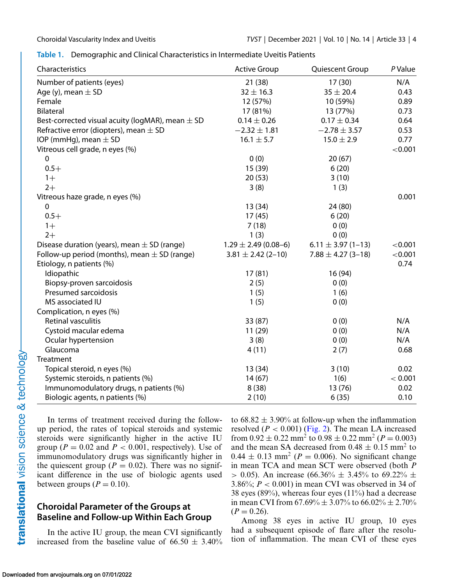<span id="page-3-0"></span>**Table 1.** Demographic and Clinical Characteristics in Intermediate Uveitis Patients

| Characteristics                                         | <b>Active Group</b>      | Quiescent Group        | P Value |  |
|---------------------------------------------------------|--------------------------|------------------------|---------|--|
| Number of patients (eyes)                               | 21(38)                   | 17(30)                 | N/A     |  |
| Age (y), mean $\pm$ SD                                  | $32 \pm 16.3$            | $35 \pm 20.4$          | 0.43    |  |
| Female                                                  | 12 (57%)                 | 10 (59%)               | 0.89    |  |
| <b>Bilateral</b>                                        | 17 (81%)                 | 13 (77%)               | 0.73    |  |
| Best-corrected visual acuity ( $logMR$ ), mean $\pm$ SD | $0.14 \pm 0.26$          | $0.17 \pm 0.34$        | 0.64    |  |
| Refractive error (diopters), mean $\pm$ SD              | $-2.32 \pm 1.81$         | $-2.78 \pm 3.57$       | 0.53    |  |
| IOP (mmHg), mean $\pm$ SD                               | $16.1 \pm 5.7$           | $15.0 \pm 2.9$         | 0.77    |  |
| Vitreous cell grade, n eyes (%)                         |                          |                        | < 0.001 |  |
| 0                                                       | 0(0)                     | 20(67)                 |         |  |
| $0.5+$                                                  | 15 (39)                  | 6(20)                  |         |  |
| $1+$                                                    | 20(53)                   | 3(10)                  |         |  |
| $2+$                                                    | 3(8)                     | 1(3)                   |         |  |
| Vitreous haze grade, n eyes (%)                         |                          |                        | 0.001   |  |
| 0                                                       | 13 (34)                  | 24 (80)                |         |  |
| $0.5+$                                                  | 17(45)                   | 6(20)                  |         |  |
| $1+$                                                    | 7(18)                    | 0(0)                   |         |  |
| $2+$                                                    | 1(3)                     | 0(0)                   |         |  |
| Disease duration (years), mean $\pm$ SD (range)         | $1.29 \pm 2.49$ (0.08-6) | $6.11 \pm 3.97$ (1-13) | < 0.001 |  |
| Follow-up period (months), mean $\pm$ SD (range)        | $3.81 \pm 2.42$ (2-10)   | $7.88 \pm 4.27$ (3-18) | < 0.001 |  |
| Etiology, n patients (%)                                |                          |                        | 0.74    |  |
| Idiopathic                                              | 17(81)                   | 16 (94)                |         |  |
| Biopsy-proven sarcoidosis                               | 2(5)                     | 0(0)                   |         |  |
| Presumed sarcoidosis                                    | 1(5)                     | 1(6)                   |         |  |
| MS associated IU                                        | 1(5)                     | 0(0)                   |         |  |
| Complication, n eyes (%)                                |                          |                        |         |  |
| Retinal vasculitis                                      | 33 (87)                  | 0(0)                   | N/A     |  |
| Cystoid macular edema                                   | 11 (29)                  | 0(0)                   | N/A     |  |
| Ocular hypertension                                     | 3(8)                     | 0(0)                   | N/A     |  |
| Glaucoma                                                | 4(11)                    | 2(7)                   | 0.68    |  |
| Treatment                                               |                          |                        |         |  |
| Topical steroid, n eyes (%)                             | 13 (34)                  | 3(10)                  | 0.02    |  |
| Systemic steroids, n patients (%)                       | 14(67)                   | 1(6)                   | < 0.001 |  |
| Immunomodulatory drugs, n patients (%)                  | 8(38)                    | 13 (76)                | 0.02    |  |
| Biologic agents, n patients (%)                         | 2(10)                    | 6(35)                  | 0.10    |  |

In terms of treatment received during the followup period, the rates of topical steroids and systemic steroids were significantly higher in the active IU group ( $P = 0.02$  and  $P < 0.001$ , respectively). Use of immunomodulatory drugs was significantly higher in the quiescent group ( $P = 0.02$ ). There was no significant difference in the use of biologic agents used between groups  $(P = 0.10)$ .

#### **Choroidal Parameter of the Groups at Baseline and Follow-up Within Each Group**

In the active IU group, the mean CVI significantly increased from the baseline value of  $66.50 \pm 3.40\%$  to  $68.82 \pm 3.90\%$  at follow-up when the inflammation resolved  $(P < 0.001)$  [\(Fig. 2\)](#page-4-0). The mean LA increased from  $0.92 \pm 0.22$  mm<sup>2</sup> to  $0.98 \pm 0.22$  mm<sup>2</sup> ( $P = 0.003$ ) and the mean SA decreased from  $0.48 \pm 0.15$  mm<sup>2</sup> to  $0.44 \pm 0.13$  mm<sup>2</sup> ( $P = 0.006$ ). No significant change in mean TCA and mean SCT were observed (both *P*  $> 0.05$ ). An increase (66.36%  $\pm$  3.45% to 69.22%  $\pm$ 3.86%;  $P < 0.001$ ) in mean CVI was observed in 34 of 38 eyes (89%), whereas four eyes (11%) had a decrease in mean CVI from  $67.69\% \pm 3.07\%$  to  $66.02\% \pm 2.70\%$  $(P = 0.26)$ .

Among 38 eyes in active IU group, 10 eyes had a subsequent episode of flare after the resolution of inflammation. The mean CVI of these eyes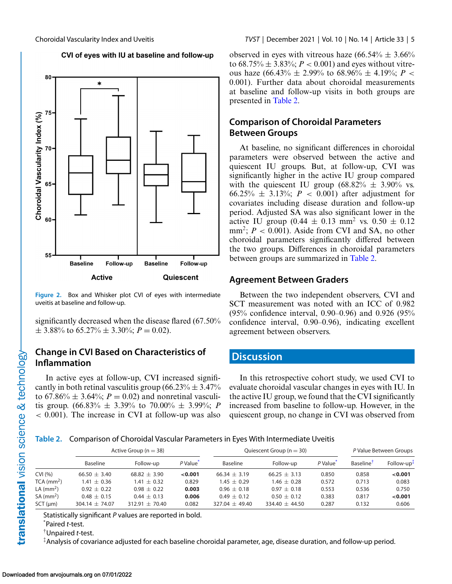CVI of eyes with IU at baseline and follow-up

<span id="page-4-0"></span>

**Figure 2.** Box and Whisker plot CVI of eyes with intermediate uveitis at baseline and follow-up.

significantly decreased when the disease flared (67.50%  $\pm$  3.88% to 65.27%  $\pm$  3.30%;  $P = 0.02$ ).

#### **Change in CVI Based on Characteristics of Inflammation**

In active eyes at follow-up, CVI increased significantly in both retinal vasculitis group  $(66.23\% \pm 3.47\%)$ to  $67.86\% \pm 3.64\%; P = 0.02$  and nonretinal vasculitis group.  $(66.83\% \pm 3.39\% \text{ to } 70.00\% \pm 3.99\% \text{; } P$ < 0.001). The increase in CVI at follow-up was also observed in eyes with vitreous haze  $(66.54\% \pm 3.66\%)$ to  $68.75\% \pm 3.83\%; P < 0.001$  and eyes without vitreous haze (66.43%  $\pm$  2.99% to 68.96%  $\pm$  4.19%; *P* < 0.001). Further data about choroidal measurements at baseline and follow-up visits in both groups are presented in Table 2.

### **Comparison of Choroidal Parameters Between Groups**

At baseline, no significant differences in choroidal parameters were observed between the active and quiescent IU groups. But, at follow-up, CVI was significantly higher in the active IU group compared with the quiescent IU group  $(68.82\% \pm 3.90\% \text{ vs.})$ 66.25%  $\pm$  3.13%; *P* < 0.001) after adjustment for covariates including disease duration and follow-up period. Adjusted SA was also significant lower in the active IU group  $(0.44 \pm 0.13 \text{ mm}^2 \text{ vs. } 0.50 \pm 0.12$  $mm^2$ ;  $P < 0.001$ ). Aside from CVI and SA, no other choroidal parameters significantly differed between the two groups. Differences in choroidal parameters between groups are summarized in Table 2.

#### **Agreement Between Graders**

Between the two independent observers, CVI and SCT measurement was noted with an ICC of 0.982 (95% confidence interval, 0.90–0.96) and 0.926 (95% confidence interval, 0.90–0.96), indicating excellent agreement between observers.

### **Discussion**

In this retrospective cohort study, we used CVI to evaluate choroidal vascular changes in eyes with IU. In the active IU group, we found that the CVI significantly increased from baseline to follow-up. However, in the quiescent group, no change in CVI was observed from

**Table 2.** Comparison of Choroidal Vascular Parameters in Eyes With Intermediate Uveitis

|                        | Active Group ( $n = 38$ ) |                  |                      | Quiescent Group ( $n = 30$ ) |                  |                      | P Value Between Groups       |                        |
|------------------------|---------------------------|------------------|----------------------|------------------------------|------------------|----------------------|------------------------------|------------------------|
|                        | <b>Baseline</b>           | Follow-up        | P Value <sup>*</sup> | Baseline                     | Follow-up        | P Value <sup>*</sup> | <b>Baseline</b> <sup>1</sup> | Follow-up <sup>#</sup> |
| CVI(%)                 | 66.50 $\pm$ 3.40          | 68.82 $\pm$ 3.90 | < 0.001              | $66.34 + 3.19$               | $66.25 + 3.13$   | 0.850                | 0.858                        | < 0.001                |
| TCA (mm <sup>2</sup> ) | $1.41 \pm 0.36$           | $1.41 \pm 0.32$  | 0.829                | $1.45 + 0.29$                | $1.46 \pm 0.28$  | 0.572                | 0.713                        | 0.083                  |
| LA $\rm (mm^2)$        | $0.92 + 0.22$             | $0.98 + 0.22$    | 0.003                | $0.96 \pm 0.18$              | $0.97 + 0.18$    | 0.553                | 0.536                        | 0.750                  |
| $SA \, \text{(mm}^2)$  | $0.48 \pm 0.15$           | $0.44 \pm 0.13$  | 0.006                | $0.49 \pm 0.12$              | $0.50 + 0.12$    | 0.383                | 0.817                        | < 0.001                |
| SCT (µm)               | $304.14 + 74.07$          | $312.91 + 70.40$ | 0.082                | $327.04 \pm 49.40$           | $334.40 + 44.50$ | 0.287                | 0.132                        | 0.606                  |

Statistically significant *P* values are reported in bold.

\* Paired *t*-test.

†Unpaired *t*-test.

‡Analysis of covariance adjusted for each baseline choroidal parameter, age, disease duration, and follow-up period.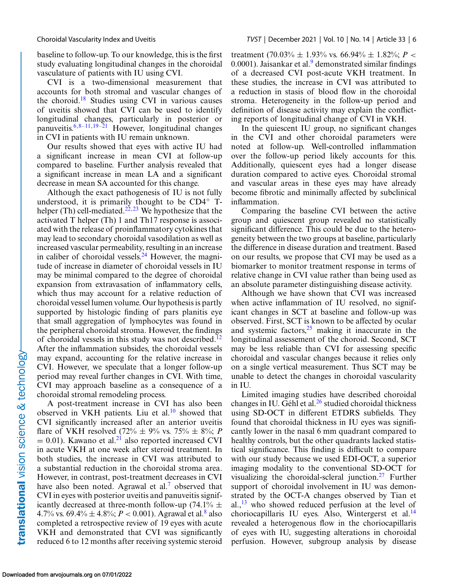baseline to follow-up. To our knowledge, this is the first study evaluating longitudinal changes in the choroidal vasculature of patients with IU using CVI.

CVI is a two-dimensional measurement that accounts for both stromal and vascular changes of the choroid.<sup>18</sup> Studies using CVI in various causes of uveitis showed that CVI can be used to identify longitudinal changes, particularly in posterior or panuveitis.[6,8–11,19–21](#page-7-0) However, longitudinal changes in CVI in patients with IU remain unknown.

Our results showed that eyes with active IU had a significant increase in mean CVI at follow-up compared to baseline. Further analysis revealed that a significant increase in mean LA and a significant decrease in mean SA accounted for this change.

Although the exact pathogenesis of IU is not fully understood, it is primarily thought to be  $CD4^+$  T-helper (Th) cell-mediated.<sup>[22,23](#page-7-0)</sup> We hypothesize that the activated T helper (Th) 1 and Th17 response is associated with the release of proinflammatory cytokines that may lead to secondary choroidal vasodilation as well as increased vascular permeability, resulting in an increase in caliber of choroidal vessels. $^{24}$  $^{24}$  $^{24}$  However, the magnitude of increase in diameter of choroidal vessels in IU may be minimal compared to the degree of choroidal expansion from extravasation of inflammatory cells, which thus may account for a relative reduction of choroidal vessel lumen volume. Our hypothesis is partly supported by histologic finding of pars planitis eye that small aggregation of lymphocytes was found in the peripheral choroidal stroma. However, the findings of choroidal vessels in this study was not described.<sup>[12](#page-7-0)</sup> After the inflammation subsides, the choroidal vessels may expand, accounting for the relative increase in CVI. However, we speculate that a longer follow-up period may reveal further changes in CVI. With time, CVI may approach baseline as a consequence of a choroidal stromal remodeling process.

A post-treatment increase in CVI has also been observed in VKH patients. Liu et al. $10$  showed that CVI significantly increased after an anterior uveitis flare of VKH resolved  $(72\% \pm 9\% \text{ vs. } 75\% \pm 8\%; P)$  $= 0.01$ ). Kawano et al.<sup>[21](#page-7-0)</sup> also reported increased CVI in acute VKH at one week after steroid treatment. In both studies, the increase in CVI was attributed to a substantial reduction in the choroidal stroma area. However, in contrast, post-treatment decreases in CVI have also been noted. Agrawal et al.<sup>7</sup> observed that CVI in eyes with posterior uveitis and panuveitis significantly decreased at three-month follow-up (74.1%  $\pm$ 4.7% vs.  $69.4\% \pm 4.8\%; P < 0.001$  $69.4\% \pm 4.8\%; P < 0.001$  $69.4\% \pm 4.8\%; P < 0.001$ ). Agrawal et al.<sup>8</sup> also completed a retrospective review of 19 eyes with acute VKH and demonstrated that CVI was significantly reduced 6 to 12 months after receiving systemic steroid treatment (70.03%  $\pm$  1.93% vs. 66.94%  $\pm$  1.82%; *P* < 0.0001). Jaisankar et al. $9$  demonstrated similar findings of a decreased CVI post-acute VKH treatment. In these studies, the increase in CVI was attributed to a reduction in stasis of blood flow in the choroidal stroma. Heterogeneity in the follow-up period and definition of disease activity may explain the conflicting reports of longitudinal change of CVI in VKH.

In the quiescent IU group, no significant changes in the CVI and other choroidal parameters were noted at follow-up. Well-controlled inflammation over the follow-up period likely accounts for this. Additionally, quiescent eyes had a longer disease duration compared to active eyes. Choroidal stromal and vascular areas in these eyes may have already become fibrotic and minimally affected by subclinical inflammation.

Comparing the baseline CVI between the active group and quiescent group revealed no statistically significant difference. This could be due to the heterogeneity between the two groups at baseline, particularly the difference in disease duration and treatment. Based on our results, we propose that CVI may be used as a biomarker to monitor treatment response in terms of relative change in CVI value rather than being used as an absolute parameter distinguishing disease activity.

Although we have shown that CVI was increased when active inflammation of IU resolved, no significant changes in SCT at baseline and follow-up was observed. First, SCT is known to be affected by ocular and systemic factors, $25$  making it inaccurate in the longitudinal assessement of the choroid. Second, SCT may be less reliable than CVI for assessing specific choroidal and vascular changes because it relies only on a single vertical measurement. Thus SCT may be unable to detect the changes in choroidal vascularity in IU.

Limited imaging studies have described choroidal changes in IU. Géhl et al. $^{26}$  $^{26}$  $^{26}$  studied choroidal thickness using SD-OCT in different ETDRS subfields. They found that choroidal thickness in IU eyes was significantly lower in the nasal 6 mm quadrant compared to healthy controls, but the other quadrants lacked statistical significance. This finding is difficult to compare with our study because we used EDI-OCT, a superior imaging modality to the conventional SD-OCT for visualizing the choroidal-scleral junction.<sup>[27](#page-7-0)</sup> Further support of choroidal involvement in IU was demonstrated by the OCT-A changes observed by Tian et al., $^{13}$  who showed reduced perfusion at the level of choriocapillaris IU eyes. Also, Wintergerst et al. $^{14}$ revealed a heterogenous flow in the choriocapillaris of eyes with IU, suggesting alterations in choroidal perfusion. However, subgroup analysis by disease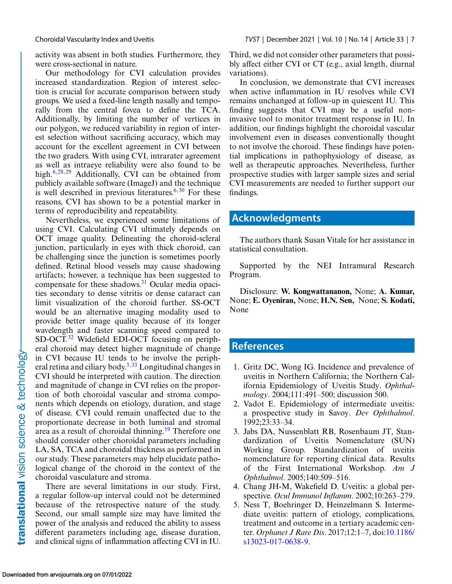<span id="page-6-0"></span>activity was absent in both studies. Furthermore, they were cross-sectional in nature.

Our methodology for CVI calculation provides increased standardization. Region of interest selection is crucial for accurate comparison between study groups. We used a fixed-line length nasally and temporally from the central fovea to define the TCA. Additionally, by limiting the number of vertices in our polygon, we reduced variability in region of interest selection without sacrificing accuracy, which may account for the excellent agreement in CVI between the two graders. With using CVI, intrarater agreement as well as intraeye reliability were also found to be high. $6,28,29$  Additionally, CVI can be obtained from publicly available software (ImageJ) and the technique is well described in previous literatures.  $6,30$  $6,30$  For these reasons, CVI has shown to be a potential marker in terms of reproducibility and repeatability.

Nevertheless, we experienced some limitations of using CVI. Calculating CVI ultimately depends on OCT image quality. Delineating the choroid-scleral junction, particularly in eyes with thick choroid, can be challenging since the junction is sometimes poorly defined. Retinal blood vessels may cause shadowing artifacts; however, a technique has been suggested to compensate for these shadows.<sup>31</sup> Ocular media opacities secondary to dense vitritis or dense cataract can limit visualization of the choroid further. SS-OCT would be an alternative imaging modality used to provide better image quality because of its longer wavelength and faster scanning speed compared to SD-OCT.<sup>[32](#page-8-0)</sup> Widefield EDI-OCT focusing on peripheral choroid may detect higher magnitude of change in CVI because IU tends to be involve the periph-eral retina and ciliary body.<sup>3[,33](#page-8-0)</sup> Longitudinal changes in CVI should be interpreted with caution. The direction and magnitude of change in CVI relies on the proportion of both choroidal vascular and stroma components which depends on etiology, duration, and stage of disease. CVI could remain unaffected due to the proportionate decrease in both luminal and stromal area as a result of choroidal thinning.<sup>[19](#page-7-0)</sup> Therefore one should consider other choroidal parameters including LA, SA, TCA and choroidal thickness as performed in our study. These parameters may help elucidate pathological change of the choroid in the context of the choroidal vasculature and stroma.

There are several limitations in our study. First, a regular follow-up interval could not be determined because of the retrospective nature of the study. Second, our small sample size may have limited the power of the analysis and reduced the ability to assess different parameters including age, disease duration, and clinical signs of inflammation affecting CVI in IU. Third, we did not consider other parameters that possibly affect either CVI or CT (e.g., axial length, diurnal variations).

In conclusion, we demonstrate that CVI increases when active inflammation in IU resolves while CVI remains unchanged at follow-up in quiescent IU. This finding suggests that CVI may be a useful noninvasive tool to monitor treatment response in IU. In addition, our findings highlight the choroidal vascular involvement even in diseases conventionally thought to not involve the choroid. These findings have potential implications in pathophysiology of disease, as well as therapeutic approaches. Nevertheless, further prospective studies with larger sample sizes and serial CVI measurements are needed to further support our findings.

### **Acknowledgments**

The authors thank Susan Vitale for her assistance in statistical consultation.

Supported by the NEI Intramural Research Program.

Disclosure: **W. Kongwattananon,** None; **A. Kumar,** None; **E. Oyeniran,** None; **H.N. Sen,** None; **S. Kodati,** None

## **References**

- 1. Gritz DC, Wong IG. Incidence and prevalence of uveitis in Northern California; the Northern California Epidemiology of Uveitis Study. *Ophthalmology*. 2004;111:491–500; discussion 500.
- 2. Vadot E. Epidemiology of intermediate uveitis: a prospective study in Savoy. *Dev Ophthalmol*. 1992;23:33–34.
- 3. Jabs DA, Nussenblatt RB, Rosenbaum JT, Standardization of Uveitis Nomenclature (SUN) Working Group. Standardization of uveitis nomenclature for reporting clinical data. Results of the First International Workshop. *Am J Ophthalmol*. 2005;140:509–516.
- 4. Chang JH-M, Wakefield D. Uveitis: a global perspective. *Ocul Immunol Inflamm*. 2002;10:263–279.
- 5. Ness T, Boehringer D, Heinzelmann S. Intermediate uveitis: pattern of etiology, complications, treatment and outcome in a tertiary academic center. *Orphanet J Rare Dis*[. 2017;12:1–7, doi:10.1186/](http://doi.org/10.1186/s13023-017-0638-9) s13023-017-0638-9.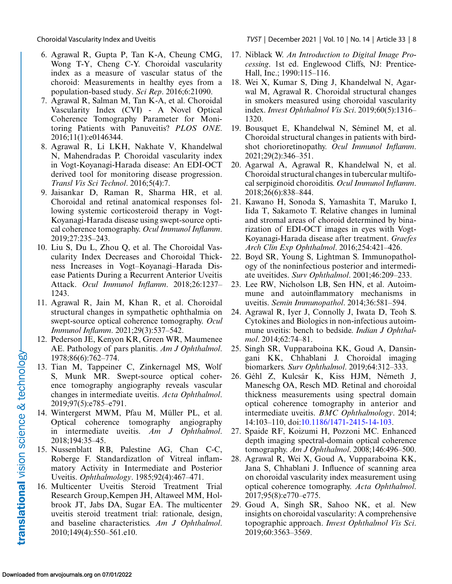- 6. Agrawal R, Gupta P, Tan K-A, Cheung CMG, Wong T-Y, Cheng C-Y. Choroidal vascularity index as a measure of vascular status of the choroid: Measurements in healthy eyes from a population-based study. *Sci Rep*. 2016;6:21090.
- 7. Agrawal R, Salman M, Tan K-A, et al. Choroidal Vascularity Index (CVI) - A Novel Optical Coherence Tomography Parameter for Monitoring Patients with Panuveitis? *PLOS ONE*. 2016;11(1):e0146344.
- 8. Agrawal R, Li LKH, Nakhate V, Khandelwal N, Mahendradas P. Choroidal vascularity index in Vogt-Koyanagi-Harada disease: An EDI-OCT derived tool for monitoring disease progression. *Transl Vis Sci Technol*. 2016;5(4):7.
- 9. Jaisankar D, Raman R, Sharma HR, et al. Choroidal and retinal anatomical responses following systemic corticosteroid therapy in Vogt-Koyanagi-Harada disease using swept-source optical coherence tomography. *Ocul Immunol Inflamm*. 2019;27:235–243.
- 10. Liu S, Du L, Zhou Q, et al. The Choroidal Vascularity Index Decreases and Choroidal Thickness Increases in Vogt–Koyanagi–Harada Disease Patients During a Recurrent Anterior Uveitis Attack. *Ocul Immunol Inflamm*. 2018;26:1237– 1243.
- 11. Agrawal R, Jain M, Khan R, et al. Choroidal structural changes in sympathetic ophthalmia on swept-source optical coherence tomography. *Ocul Immunol Inflamm*. 2021;29(3):537–542.
- 12. Pederson JE, Kenyon KR, Green WR, Maumenee AE. Pathology of pars planitis. *Am J Ophthalmol*. 1978;86(6):762–774.
- 13. Tian M, Tappeiner C, Zinkernagel MS, Wolf S, Munk MR. Swept-source optical coherence tomography angiography reveals vascular changes in intermediate uveitis. *Acta Ophthalmol*. 2019;97(5):e785–e791.
- 14. Wintergerst MWM, Pfau M, Müller PL, et al. Optical coherence tomography angiography in intermediate uveitis. *Am J Ophthalmol*. 2018;194:35–45.
- 15. Nussenblatt RB, Palestine AG, Chan C-C, Roberge F. Standardizatlon of Vitreal inflammatory Activity in Intermediate and Posterior Uveitis. *Ophthalmology*. 1985;92(4):467–471.
- 16. Multicenter Uveitis Steroid Treatment Trial Research Group,Kempen JH, Altaweel MM, Holbrook JT, Jabs DA, Sugar EA. The multicenter uveitis steroid treatment trial: rationale, design, and baseline characteristics. *Am J Ophthalmol*. 2010;149(4):550–561.e10.

<span id="page-7-0"></span>Choroidal Vascularity Index and Uveitis *TVST* | December 2021 | Vol. 10 | No. 14 | Article 33 | 8

- 17. Niblack W. *An Introduction to Digital Image Processing*. 1st ed. Englewood Cliffs, NJ: Prentice-Hall, Inc.; 1990:115–116.
- 18. Wei X, Kumar S, Ding J, Khandelwal N, Agarwal M, Agrawal R. Choroidal structural changes in smokers measured using choroidal vascularity index. *Invest Ophthalmol Vis Sci*. 2019;60(5):1316– 1320.
- 19. Bousquet E, Khandelwal N, Séminel M, et al. Choroidal structural changes in patients with birdshot chorioretinopathy. *Ocul Immunol Inflamm*. 2021;29(2):346–351.
- 20. Agarwal A, Agrawal R, Khandelwal N, et al. Choroidal structural changes in tubercular multifocal serpiginoid choroiditis. *Ocul Immunol Inflamm*. 2018;26(6):838–844.
- 21. Kawano H, Sonoda S, Yamashita T, Maruko I, Iida T, Sakamoto T. Relative changes in luminal and stromal areas of choroid determined by binarization of EDI-OCT images in eyes with Vogt-Koyanagi-Harada disease after treatment. *Graefes Arch Clin Exp Ophthalmol*. 2016;254:421–426.
- 22. Boyd SR, Young S, Lightman S. Immunopathology of the noninfectious posterior and intermediate uveitides. *Surv Ophthalmol*. 2001;46:209–233.
- 23. Lee RW, Nicholson LB, Sen HN, et al. Autoimmune and autoinflammatory mechanisms in uveitis. *Semin Immunopathol*. 2014;36:581–594.
- 24. Agrawal R, Iyer J, Connolly J, Iwata D, Teoh S. Cytokines and Biologics in non-infectious autoimmune uveitis: bench to bedside. *Indian J Ophthalmol*. 2014;62:74–81.
- 25. Singh SR, Vupparaboina KK, Goud A, Dansingani KK, Chhablani J. Choroidal imaging biomarkers. *Surv Ophthalmol*. 2019;64:312–333.
- 26. Géhl Z, Kulcsár K, Kiss HJM, Németh J, Maneschg OA, Resch MD. Retinal and choroidal thickness measurements using spectral domain optical coherence tomography in anterior and intermediate uveitis. *BMC Ophthalmology*. 2014; 14:103–110, doi[:10.1186/1471-2415-14-103.](http://doi.org/10.1186/1471-2415-14-103)
- 27. Spaide RF, Koizumi H, Pozzoni MC. Enhanced depth imaging spectral-domain optical coherence tomography. *Am J Ophthalmol*. 2008;146:496–500.
- 28. Agrawal R, Wei X, Goud A, Vupparaboina KK, Jana S, Chhablani J. Influence of scanning area on choroidal vascularity index measurement using optical coherence tomography. *Acta Ophthalmol*. 2017;95(8):e770–e775.
- 29. Goud A, Singh SR, Sahoo NK, et al. New insights on choroidal vascularity: A comprehensive topographic approach. *Invest Ophthalmol Vis Sci*. 2019;60:3563–3569.